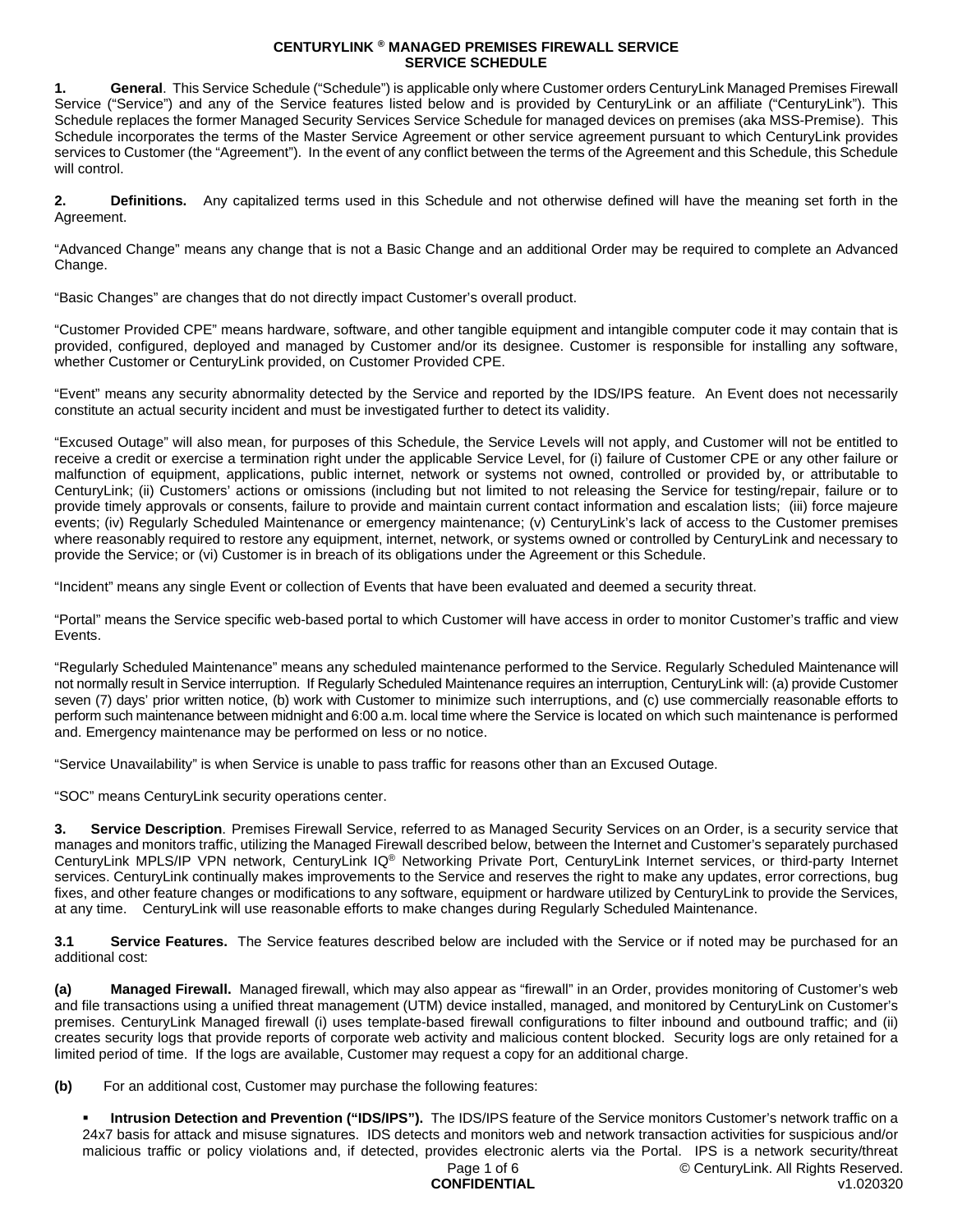**1. General**. This Service Schedule ("Schedule") is applicable only where Customer orders CenturyLink Managed Premises Firewall Service ("Service") and any of the Service features listed below and is provided by CenturyLink or an affiliate ("CenturyLink"). This Schedule replaces the former Managed Security Services Service Schedule for managed devices on premises (aka MSS-Premise). This Schedule incorporates the terms of the Master Service Agreement or other service agreement pursuant to which CenturyLink provides services to Customer (the "Agreement"). In the event of any conflict between the terms of the Agreement and this Schedule, this Schedule will control.

**2. Definitions.** Any capitalized terms used in this Schedule and not otherwise defined will have the meaning set forth in the Agreement.

"Advanced Change" means any change that is not a Basic Change and an additional Order may be required to complete an Advanced Change.

"Basic Changes" are changes that do not directly impact Customer's overall product.

"Customer Provided CPE" means hardware, software, and other tangible equipment and intangible computer code it may contain that is provided, configured, deployed and managed by Customer and/or its designee. Customer is responsible for installing any software, whether Customer or CenturyLink provided, on Customer Provided CPE.

"Event" means any security abnormality detected by the Service and reported by the IDS/IPS feature. An Event does not necessarily constitute an actual security incident and must be investigated further to detect its validity.

"Excused Outage" will also mean, for purposes of this Schedule, the Service Levels will not apply, and Customer will not be entitled to receive a credit or exercise a termination right under the applicable Service Level, for (i) failure of Customer CPE or any other failure or malfunction of equipment, applications, public internet, network or systems not owned, controlled or provided by, or attributable to CenturyLink; (ii) Customers' actions or omissions (including but not limited to not releasing the Service for testing/repair, failure or to provide timely approvals or consents, failure to provide and maintain current contact information and escalation lists; (iii) force majeure events; (iv) Regularly Scheduled Maintenance or emergency maintenance; (v) CenturyLink's lack of access to the Customer premises where reasonably required to restore any equipment, internet, network, or systems owned or controlled by CenturyLink and necessary to provide the Service; or (vi) Customer is in breach of its obligations under the Agreement or this Schedule.

"Incident" means any single Event or collection of Events that have been evaluated and deemed a security threat.

"Portal" means the Service specific web-based portal to which Customer will have access in order to monitor Customer's traffic and view Events.

"Regularly Scheduled Maintenance" means any scheduled maintenance performed to the Service. Regularly Scheduled Maintenance will not normally result in Service interruption. If Regularly Scheduled Maintenance requires an interruption, CenturyLink will: (a) provide Customer seven (7) days' prior written notice, (b) work with Customer to minimize such interruptions, and (c) use commercially reasonable efforts to perform such maintenance between midnight and 6:00 a.m. local time where the Service is located on which such maintenance is performed and. Emergency maintenance may be performed on less or no notice.

"Service Unavailability" is when Service is unable to pass traffic for reasons other than an Excused Outage.

"SOC" means CenturyLink security operations center.

**3. Service Description**. Premises Firewall Service, referred to as Managed Security Services on an Order, is a security service that manages and monitors traffic, utilizing the Managed Firewall described below, between the Internet and Customer's separately purchased CenturyLink MPLS/IP VPN network, CenturyLink IQ® Networking Private Port, CenturyLink Internet services, or third-party Internet services. CenturyLink continually makes improvements to the Service and reserves the right to make any updates, error corrections, bug fixes, and other feature changes or modifications to any software, equipment or hardware utilized by CenturyLink to provide the Services, at any time. CenturyLink will use reasonable efforts to make changes during Regularly Scheduled Maintenance.

**3.1 Service Features.** The Service features described below are included with the Service or if noted may be purchased for an additional cost:

**(a) Managed Firewall.** Managed firewall, which may also appear as "firewall" in an Order, provides monitoring of Customer's web and file transactions using a unified threat management (UTM) device installed, managed, and monitored by CenturyLink on Customer's premises. CenturyLink Managed firewall (i) uses template-based firewall configurations to filter inbound and outbound traffic; and (ii) creates security logs that provide reports of corporate web activity and malicious content blocked. Security logs are only retained for a limited period of time. If the logs are available, Customer may request a copy for an additional charge.

**(b)** For an additional cost, Customer may purchase the following features:

 **Intrusion Detection and Prevention ("IDS/IPS").** The IDS/IPS feature of the Service monitors Customer's network traffic on a 24x7 basis for attack and misuse signatures. IDS detects and monitors web and network transaction activities for suspicious and/or malicious traffic or policy violations and, if detected, provides electronic alerts via the Portal. IPS is a network security/threat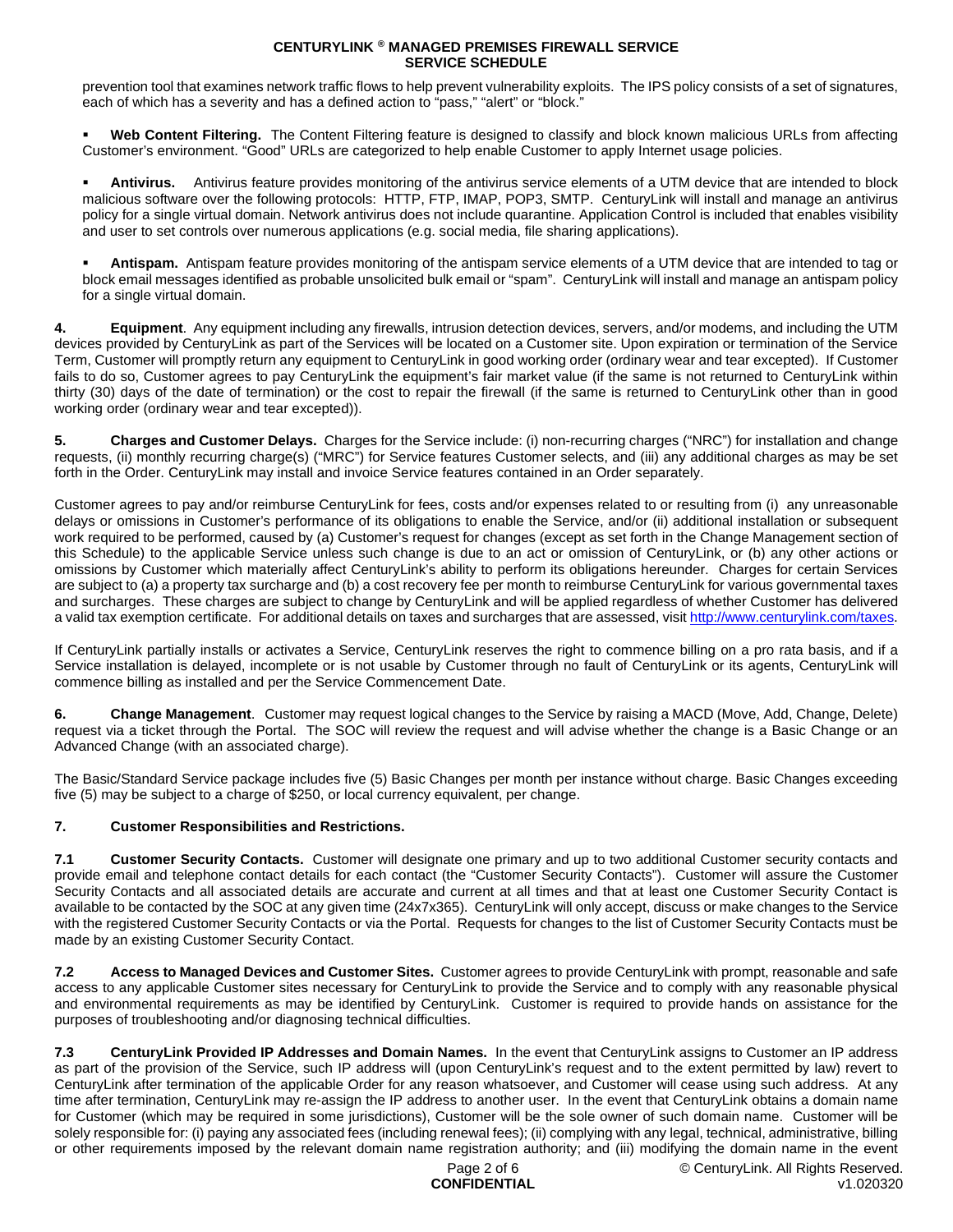prevention tool that examines network traffic flows to help prevent vulnerability exploits. The IPS policy consists of a set of signatures, each of which has a severity and has a defined action to "pass," "alert" or "block."

 **Web Content Filtering.** The Content Filtering feature is designed to classify and block known malicious URLs from affecting Customer's environment. "Good" URLs are categorized to help enable Customer to apply Internet usage policies.

 **Antivirus.** Antivirus feature provides monitoring of the antivirus service elements of a UTM device that are intended to block malicious software over the following protocols: HTTP, FTP, IMAP, POP3, SMTP. CenturyLink will install and manage an antivirus policy for a single virtual domain. Network antivirus does not include quarantine. Application Control is included that enables visibility and user to set controls over numerous applications (e.g. social media, file sharing applications).

 **Antispam.** Antispam feature provides monitoring of the antispam service elements of a UTM device that are intended to tag or block email messages identified as probable unsolicited bulk email or "spam". CenturyLink will install and manage an antispam policy for a single virtual domain.

**4. Equipment**. Any equipment including any firewalls, intrusion detection devices, servers, and/or modems, and including the UTM devices provided by CenturyLink as part of the Services will be located on a Customer site. Upon expiration or termination of the Service Term, Customer will promptly return any equipment to CenturyLink in good working order (ordinary wear and tear excepted). If Customer fails to do so, Customer agrees to pay CenturyLink the equipment's fair market value (if the same is not returned to CenturyLink within thirty (30) days of the date of termination) or the cost to repair the firewall (if the same is returned to CenturyLink other than in good working order (ordinary wear and tear excepted)).

**5. Charges and Customer Delays.** Charges for the Service include: (i) non-recurring charges ("NRC") for installation and change requests, (ii) monthly recurring charge(s) ("MRC") for Service features Customer selects, and (iii) any additional charges as may be set forth in the Order. CenturyLink may install and invoice Service features contained in an Order separately.

Customer agrees to pay and/or reimburse CenturyLink for fees, costs and/or expenses related to or resulting from (i) any unreasonable delays or omissions in Customer's performance of its obligations to enable the Service, and/or (ii) additional installation or subsequent work required to be performed, caused by (a) Customer's request for changes (except as set forth in the Change Management section of this Schedule) to the applicable Service unless such change is due to an act or omission of CenturyLink, or (b) any other actions or omissions by Customer which materially affect CenturyLink's ability to perform its obligations hereunder. Charges for certain Services are subject to (a) a property tax surcharge and (b) a cost recovery fee per month to reimburse CenturyLink for various governmental taxes and surcharges. These charges are subject to change by CenturyLink and will be applied regardless of whether Customer has delivered a valid tax exemption certificate. For additional details on taxes and surcharges that are assessed, visit [http://www.centurylink.com/taxes.](http://www.centurylink.com/taxes)

If CenturyLink partially installs or activates a Service, CenturyLink reserves the right to commence billing on a pro rata basis, and if a Service installation is delayed, incomplete or is not usable by Customer through no fault of CenturyLink or its agents, CenturyLink will commence billing as installed and per the Service Commencement Date.

**6. Change Management**. Customer may request logical changes to the Service by raising a MACD (Move, Add, Change, Delete) request via a ticket through the Portal. The SOC will review the request and will advise whether the change is a Basic Change or an Advanced Change (with an associated charge).

The Basic/Standard Service package includes five (5) Basic Changes per month per instance without charge. Basic Changes exceeding five (5) may be subject to a charge of \$250, or local currency equivalent, per change.

## **7. Customer Responsibilities and Restrictions.**

**7.1 Customer Security Contacts.** Customer will designate one primary and up to two additional Customer security contacts and provide email and telephone contact details for each contact (the "Customer Security Contacts"). Customer will assure the Customer Security Contacts and all associated details are accurate and current at all times and that at least one Customer Security Contact is available to be contacted by the SOC at any given time (24x7x365). CenturyLink will only accept, discuss or make changes to the Service with the registered Customer Security Contacts or via the Portal. Requests for changes to the list of Customer Security Contacts must be made by an existing Customer Security Contact.

**7.2 Access to Managed Devices and Customer Sites.** Customer agrees to provide CenturyLink with prompt, reasonable and safe access to any applicable Customer sites necessary for CenturyLink to provide the Service and to comply with any reasonable physical and environmental requirements as may be identified by CenturyLink. Customer is required to provide hands on assistance for the purposes of troubleshooting and/or diagnosing technical difficulties.

**7.3 CenturyLink Provided IP Addresses and Domain Names.** In the event that CenturyLink assigns to Customer an IP address as part of the provision of the Service, such IP address will (upon CenturyLink's request and to the extent permitted by law) revert to CenturyLink after termination of the applicable Order for any reason whatsoever, and Customer will cease using such address. At any time after termination, CenturyLink may re-assign the IP address to another user. In the event that CenturyLink obtains a domain name for Customer (which may be required in some jurisdictions), Customer will be the sole owner of such domain name. Customer will be solely responsible for: (i) paying any associated fees (including renewal fees); (ii) complying with any legal, technical, administrative, billing or other requirements imposed by the relevant domain name registration authority; and (iii) modifying the domain name in the event

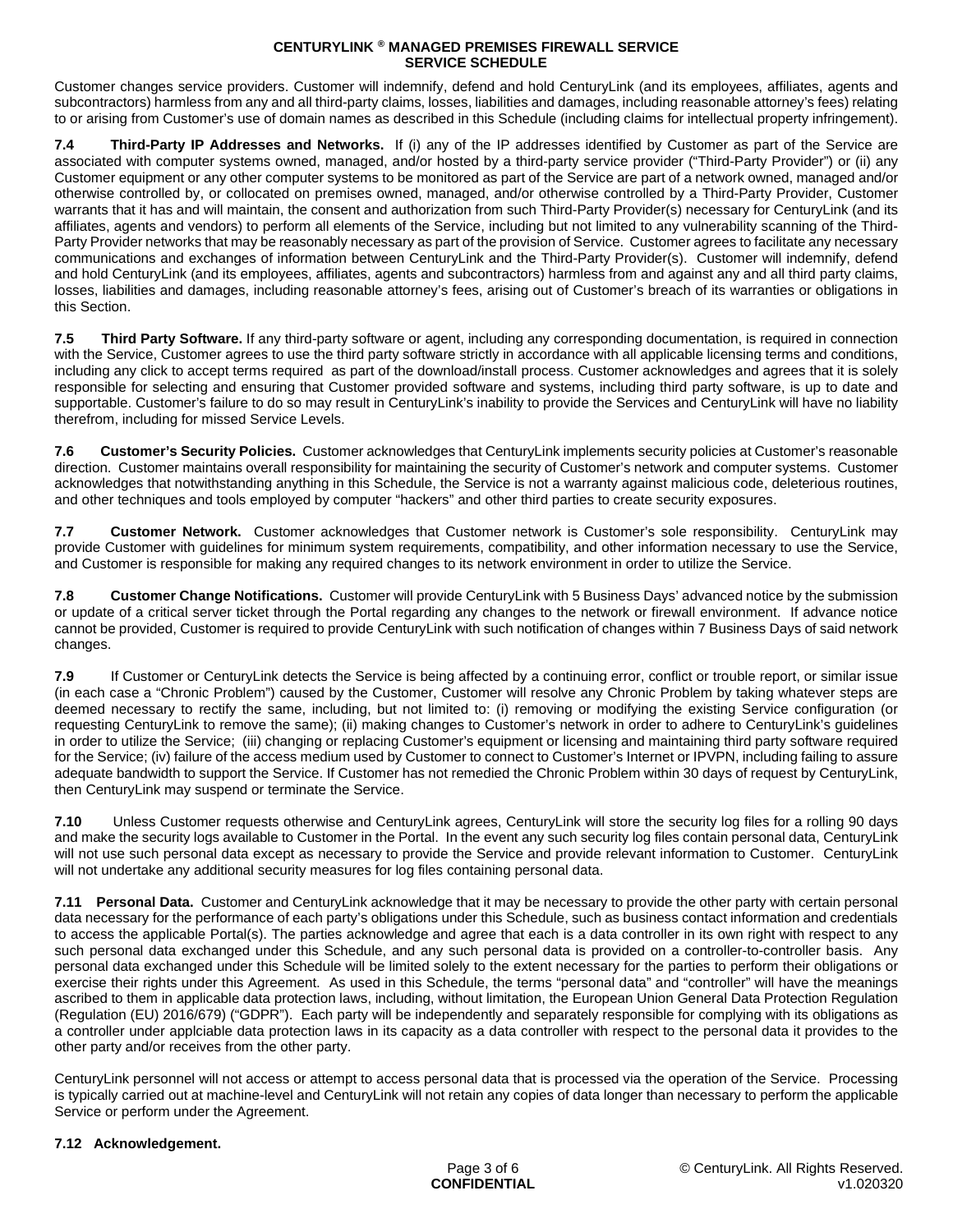Customer changes service providers. Customer will indemnify, defend and hold CenturyLink (and its employees, affiliates, agents and subcontractors) harmless from any and all third-party claims, losses, liabilities and damages, including reasonable attorney's fees) relating to or arising from Customer's use of domain names as described in this Schedule (including claims for intellectual property infringement).

**7.4 Third-Party IP Addresses and Networks.** If (i) any of the IP addresses identified by Customer as part of the Service are associated with computer systems owned, managed, and/or hosted by a third-party service provider ("Third-Party Provider") or (ii) any Customer equipment or any other computer systems to be monitored as part of the Service are part of a network owned, managed and/or otherwise controlled by, or collocated on premises owned, managed, and/or otherwise controlled by a Third-Party Provider, Customer warrants that it has and will maintain, the consent and authorization from such Third-Party Provider(s) necessary for CenturyLink (and its affiliates, agents and vendors) to perform all elements of the Service, including but not limited to any vulnerability scanning of the Third-Party Provider networks that may be reasonably necessary as part of the provision of Service. Customer agrees to facilitate any necessary communications and exchanges of information between CenturyLink and the Third-Party Provider(s). Customer will indemnify, defend and hold CenturyLink (and its employees, affiliates, agents and subcontractors) harmless from and against any and all third party claims, losses, liabilities and damages, including reasonable attorney's fees, arising out of Customer's breach of its warranties or obligations in this Section.

**7.5 Third Party Software.** If any third-party software or agent, including any corresponding documentation, is required in connection with the Service, Customer agrees to use the third party software strictly in accordance with all applicable licensing terms and conditions, including any click to accept terms required as part of the download/install process. Customer acknowledges and agrees that it is solely responsible for selecting and ensuring that Customer provided software and systems, including third party software, is up to date and supportable. Customer's failure to do so may result in CenturyLink's inability to provide the Services and CenturyLink will have no liability therefrom, including for missed Service Levels.

**7.6 Customer's Security Policies.** Customer acknowledges that CenturyLink implements security policies at Customer's reasonable direction. Customer maintains overall responsibility for maintaining the security of Customer's network and computer systems. Customer acknowledges that notwithstanding anything in this Schedule, the Service is not a warranty against malicious code, deleterious routines, and other techniques and tools employed by computer "hackers" and other third parties to create security exposures.

**7.7 Customer Network.** Customer acknowledges that Customer network is Customer's sole responsibility. CenturyLink may provide Customer with guidelines for minimum system requirements, compatibility, and other information necessary to use the Service, and Customer is responsible for making any required changes to its network environment in order to utilize the Service.

**7.8 Customer Change Notifications.** Customer will provide CenturyLink with 5 Business Days' advanced notice by the submission or update of a critical server ticket through the Portal regarding any changes to the network or firewall environment. If advance notice cannot be provided, Customer is required to provide CenturyLink with such notification of changes within 7 Business Days of said network changes.

**7.9** If Customer or CenturyLink detects the Service is being affected by a continuing error, conflict or trouble report, or similar issue (in each case a "Chronic Problem") caused by the Customer, Customer will resolve any Chronic Problem by taking whatever steps are deemed necessary to rectify the same, including, but not limited to: (i) removing or modifying the existing Service configuration (or requesting CenturyLink to remove the same); (ii) making changes to Customer's network in order to adhere to CenturyLink's guidelines in order to utilize the Service; (iii) changing or replacing Customer's equipment or licensing and maintaining third party software required for the Service; (iv) failure of the access medium used by Customer to connect to Customer's Internet or IPVPN, including failing to assure adequate bandwidth to support the Service. If Customer has not remedied the Chronic Problem within 30 days of request by CenturyLink, then CenturyLink may suspend or terminate the Service.

**7.10** Unless Customer requests otherwise and CenturyLink agrees, CenturyLink will store the security log files for a rolling 90 days and make the security logs available to Customer in the Portal. In the event any such security log files contain personal data, CenturyLink will not use such personal data except as necessary to provide the Service and provide relevant information to Customer. CenturyLink will not undertake any additional security measures for log files containing personal data.

**7.11 Personal Data.** Customer and CenturyLink acknowledge that it may be necessary to provide the other party with certain personal data necessary for the performance of each party's obligations under this Schedule, such as business contact information and credentials to access the applicable Portal(s). The parties acknowledge and agree that each is a data controller in its own right with respect to any such personal data exchanged under this Schedule, and any such personal data is provided on a controller-to-controller basis. Any personal data exchanged under this Schedule will be limited solely to the extent necessary for the parties to perform their obligations or exercise their rights under this Agreement. As used in this Schedule, the terms "personal data" and "controller" will have the meanings ascribed to them in applicable data protection laws, including, without limitation, the European Union General Data Protection Regulation (Regulation (EU) 2016/679) ("GDPR"). Each party will be independently and separately responsible for complying with its obligations as a controller under applciable data protection laws in its capacity as a data controller with respect to the personal data it provides to the other party and/or receives from the other party.

CenturyLink personnel will not access or attempt to access personal data that is processed via the operation of the Service. Processing is typically carried out at machine-level and CenturyLink will not retain any copies of data longer than necessary to perform the applicable Service or perform under the Agreement.

## **7.12 Acknowledgement.**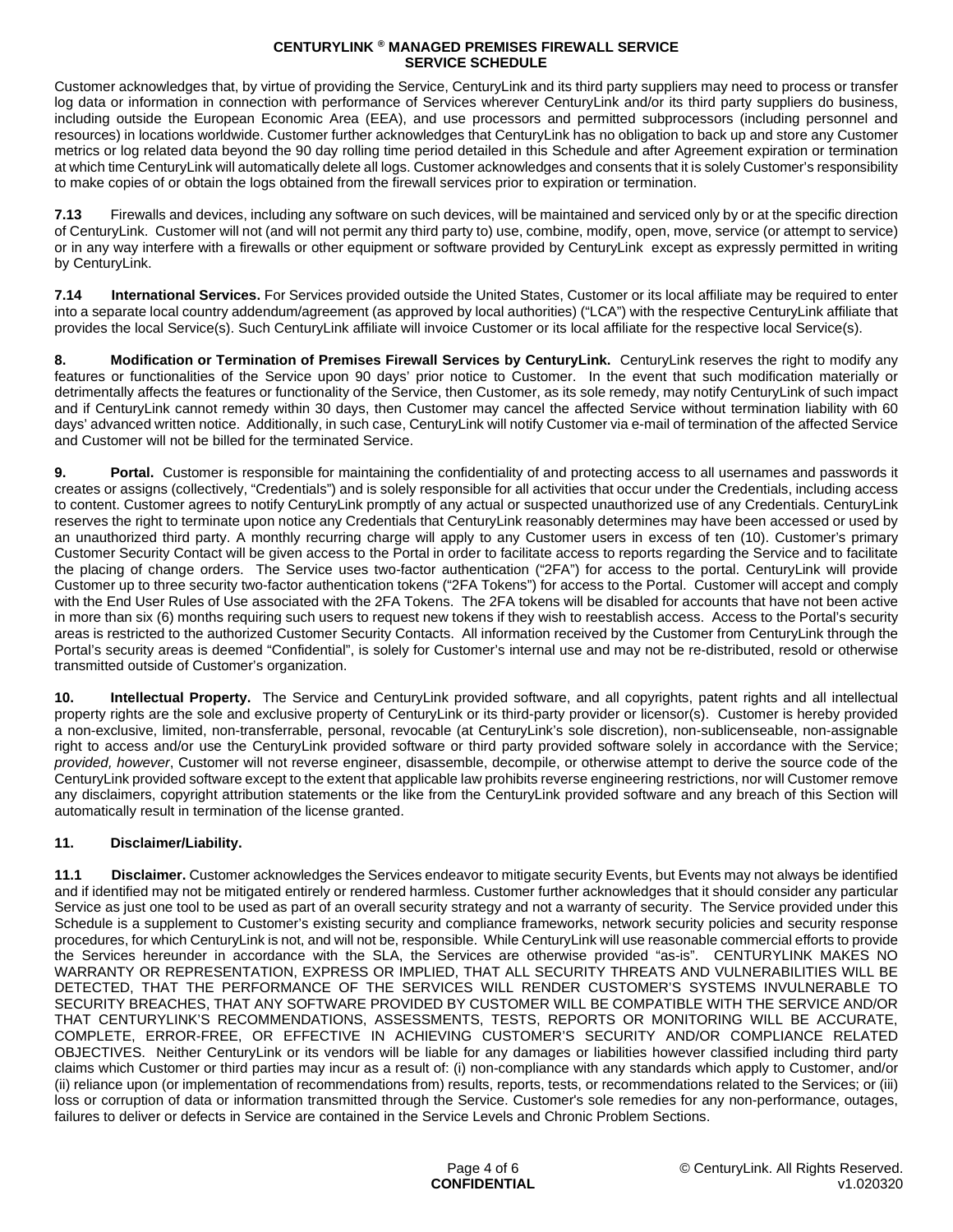Customer acknowledges that, by virtue of providing the Service, CenturyLink and its third party suppliers may need to process or transfer log data or information in connection with performance of Services wherever CenturyLink and/or its third party suppliers do business, including outside the European Economic Area (EEA), and use processors and permitted subprocessors (including personnel and resources) in locations worldwide. Customer further acknowledges that CenturyLink has no obligation to back up and store any Customer metrics or log related data beyond the 90 day rolling time period detailed in this Schedule and after Agreement expiration or termination at which time CenturyLink will automatically delete all logs. Customer acknowledges and consents that it is solely Customer's responsibility to make copies of or obtain the logs obtained from the firewall services prior to expiration or termination.

**7.13** Firewalls and devices, including any software on such devices, will be maintained and serviced only by or at the specific direction of CenturyLink. Customer will not (and will not permit any third party to) use, combine, modify, open, move, service (or attempt to service) or in any way interfere with a firewalls or other equipment or software provided by CenturyLink except as expressly permitted in writing by CenturyLink.

**7.14 International Services.** For Services provided outside the United States, Customer or its local affiliate may be required to enter into a separate local country addendum/agreement (as approved by local authorities) ("LCA") with the respective CenturyLink affiliate that provides the local Service(s). Such CenturyLink affiliate will invoice Customer or its local affiliate for the respective local Service(s).

**8. Modification or Termination of Premises Firewall Services by CenturyLink.** CenturyLink reserves the right to modify any features or functionalities of the Service upon 90 days' prior notice to Customer. In the event that such modification materially or detrimentally affects the features or functionality of the Service, then Customer, as its sole remedy, may notify CenturyLink of such impact and if CenturyLink cannot remedy within 30 days, then Customer may cancel the affected Service without termination liability with 60 days' advanced written notice. Additionally, in such case, CenturyLink will notify Customer via e-mail of termination of the affected Service and Customer will not be billed for the terminated Service.

**9. Portal.** Customer is responsible for maintaining the confidentiality of and protecting access to all usernames and passwords it creates or assigns (collectively, "Credentials") and is solely responsible for all activities that occur under the Credentials, including access to content. Customer agrees to notify CenturyLink promptly of any actual or suspected unauthorized use of any Credentials. CenturyLink reserves the right to terminate upon notice any Credentials that CenturyLink reasonably determines may have been accessed or used by an unauthorized third party. A monthly recurring charge will apply to any Customer users in excess of ten (10). Customer's primary Customer Security Contact will be given access to the Portal in order to facilitate access to reports regarding the Service and to facilitate the placing of change orders. The Service uses two-factor authentication ("2FA") for access to the portal. CenturyLink will provide Customer up to three security two-factor authentication tokens ("2FA Tokens") for access to the Portal. Customer will accept and comply with the End User Rules of Use associated with the 2FA Tokens. The 2FA tokens will be disabled for accounts that have not been active in more than six (6) months requiring such users to request new tokens if they wish to reestablish access. Access to the Portal's security areas is restricted to the authorized Customer Security Contacts. All information received by the Customer from CenturyLink through the Portal's security areas is deemed "Confidential", is solely for Customer's internal use and may not be re-distributed, resold or otherwise transmitted outside of Customer's organization.

**10. Intellectual Property.** The Service and CenturyLink provided software, and all copyrights, patent rights and all intellectual property rights are the sole and exclusive property of CenturyLink or its third-party provider or licensor(s). Customer is hereby provided a non-exclusive, limited, non-transferrable, personal, revocable (at CenturyLink's sole discretion), non-sublicenseable, non-assignable right to access and/or use the CenturyLink provided software or third party provided software solely in accordance with the Service; *provided, however*, Customer will not reverse engineer, disassemble, decompile, or otherwise attempt to derive the source code of the CenturyLink provided software except to the extent that applicable law prohibits reverse engineering restrictions, nor will Customer remove any disclaimers, copyright attribution statements or the like from the CenturyLink provided software and any breach of this Section will automatically result in termination of the license granted.

## **11. Disclaimer/Liability.**

**11.1 Disclaimer.** Customer acknowledges the Services endeavor to mitigate security Events, but Events may not always be identified and if identified may not be mitigated entirely or rendered harmless. Customer further acknowledges that it should consider any particular Service as just one tool to be used as part of an overall security strategy and not a warranty of security. The Service provided under this Schedule is a supplement to Customer's existing security and compliance frameworks, network security policies and security response procedures, for which CenturyLink is not, and will not be, responsible. While CenturyLink will use reasonable commercial efforts to provide the Services hereunder in accordance with the SLA, the Services are otherwise provided "as-is". CENTURYLINK MAKES NO WARRANTY OR REPRESENTATION, EXPRESS OR IMPLIED, THAT ALL SECURITY THREATS AND VULNERABILITIES WILL BE DETECTED, THAT THE PERFORMANCE OF THE SERVICES WILL RENDER CUSTOMER'S SYSTEMS INVULNERABLE TO SECURITY BREACHES, THAT ANY SOFTWARE PROVIDED BY CUSTOMER WILL BE COMPATIBLE WITH THE SERVICE AND/OR THAT CENTURYLINK'S RECOMMENDATIONS, ASSESSMENTS, TESTS, REPORTS OR MONITORING WILL BE ACCURATE, COMPLETE, ERROR-FREE, OR EFFECTIVE IN ACHIEVING CUSTOMER'S SECURITY AND/OR COMPLIANCE RELATED OBJECTIVES. Neither CenturyLink or its vendors will be liable for any damages or liabilities however classified including third party claims which Customer or third parties may incur as a result of: (i) non-compliance with any standards which apply to Customer, and/or (ii) reliance upon (or implementation of recommendations from) results, reports, tests, or recommendations related to the Services; or (iii) loss or corruption of data or information transmitted through the Service. Customer's sole remedies for any non-performance, outages, failures to deliver or defects in Service are contained in the Service Levels and Chronic Problem Sections.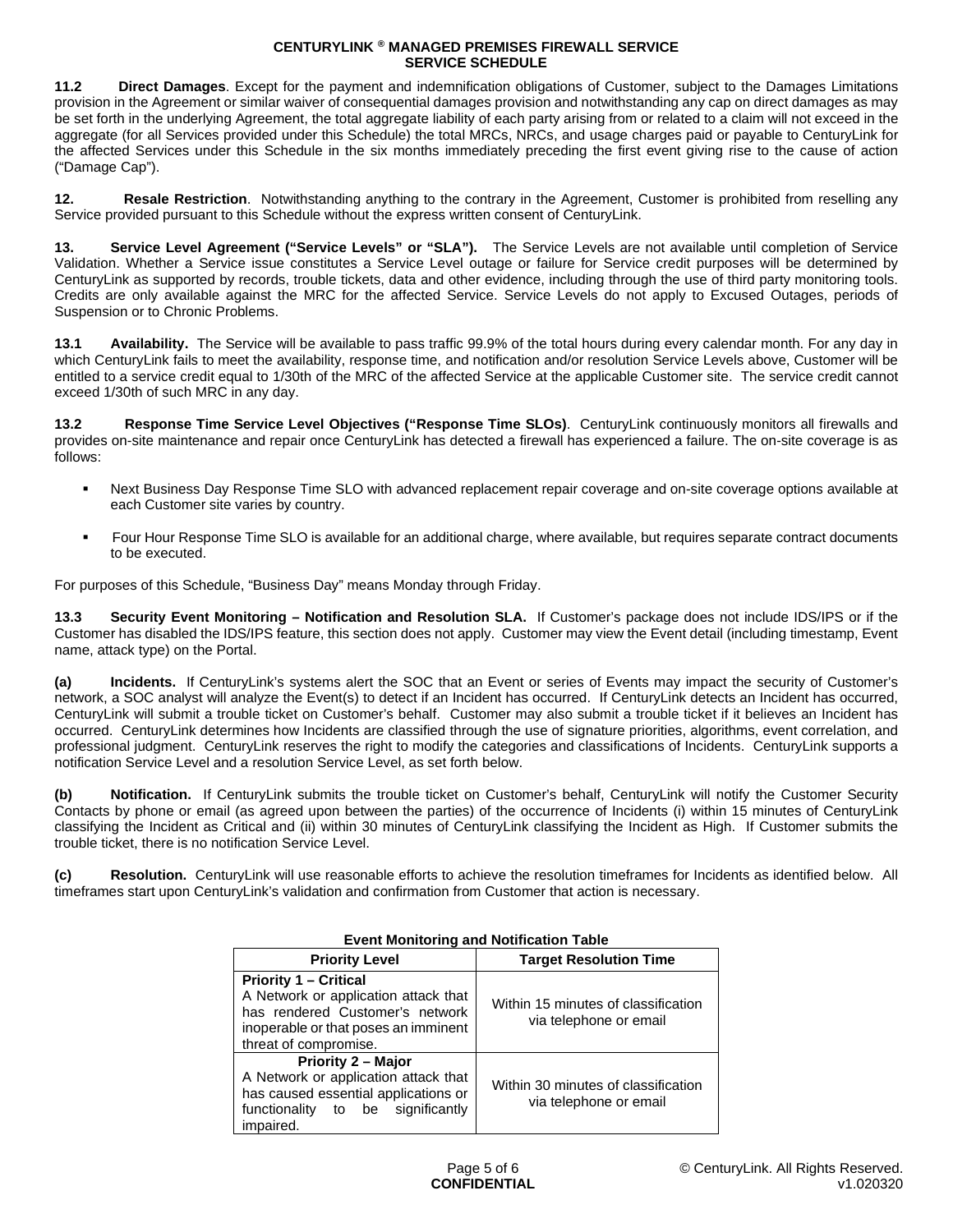**11.2 Direct Damages**. Except for the payment and indemnification obligations of Customer, subject to the Damages Limitations provision in the Agreement or similar waiver of consequential damages provision and notwithstanding any cap on direct damages as may be set forth in the underlying Agreement, the total aggregate liability of each party arising from or related to a claim will not exceed in the aggregate (for all Services provided under this Schedule) the total MRCs, NRCs, and usage charges paid or payable to CenturyLink for the affected Services under this Schedule in the six months immediately preceding the first event giving rise to the cause of action ("Damage Cap").

**12.** Resale Restriction. Notwithstanding anything to the contrary in the Agreement, Customer is prohibited from reselling any Service provided pursuant to this Schedule without the express written consent of CenturyLink.

**13. Service Level Agreement ("Service Levels" or "SLA").** The Service Levels are not available until completion of Service Validation. Whether a Service issue constitutes a Service Level outage or failure for Service credit purposes will be determined by CenturyLink as supported by records, trouble tickets, data and other evidence, including through the use of third party monitoring tools. Credits are only available against the MRC for the affected Service. Service Levels do not apply to Excused Outages, periods of Suspension or to Chronic Problems.

**13.1 Availability.** The Service will be available to pass traffic 99.9% of the total hours during every calendar month. For any day in which CenturyLink fails to meet the availability, response time, and notification and/or resolution Service Levels above, Customer will be entitled to a service credit equal to 1/30th of the MRC of the affected Service at the applicable Customer site. The service credit cannot exceed 1/30th of such MRC in any day.

**13.2 Response Time Service Level Objectives ("Response Time SLOs)**. CenturyLink continuously monitors all firewalls and provides on-site maintenance and repair once CenturyLink has detected a firewall has experienced a failure. The on-site coverage is as follows:

- Next Business Day Response Time SLO with advanced replacement repair coverage and on-site coverage options available at each Customer site varies by country.
- Four Hour Response Time SLO is available for an additional charge, where available, but requires separate contract documents to be executed.

For purposes of this Schedule, "Business Day" means Monday through Friday.

**13.3 Security Event Monitoring – Notification and Resolution SLA.** If Customer's package does not include IDS/IPS or if the Customer has disabled the IDS/IPS feature, this section does not apply. Customer may view the Event detail (including timestamp, Event name, attack type) on the Portal.

**(a) Incidents.** If CenturyLink's systems alert the SOC that an Event or series of Events may impact the security of Customer's network, a SOC analyst will analyze the Event(s) to detect if an Incident has occurred. If CenturyLink detects an Incident has occurred, CenturyLink will submit a trouble ticket on Customer's behalf. Customer may also submit a trouble ticket if it believes an Incident has occurred. CenturyLink determines how Incidents are classified through the use of signature priorities, algorithms, event correlation, and professional judgment. CenturyLink reserves the right to modify the categories and classifications of Incidents. CenturyLink supports a notification Service Level and a resolution Service Level, as set forth below.

**(b) Notification.** If CenturyLink submits the trouble ticket on Customer's behalf, CenturyLink will notify the Customer Security Contacts by phone or email (as agreed upon between the parties) of the occurrence of Incidents (i) within 15 minutes of CenturyLink classifying the Incident as Critical and (ii) within 30 minutes of CenturyLink classifying the Incident as High. If Customer submits the trouble ticket, there is no notification Service Level.

**(c) Resolution.** CenturyLink will use reasonable efforts to achieve the resolution timeframes for Incidents as identified below. All timeframes start upon CenturyLink's validation and confirmation from Customer that action is necessary.

| <b>Lytelli Monitoring and Notification Table</b>                                                                                                                         |                                                               |
|--------------------------------------------------------------------------------------------------------------------------------------------------------------------------|---------------------------------------------------------------|
| <b>Priority Level</b>                                                                                                                                                    | <b>Target Resolution Time</b>                                 |
| <b>Priority 1 – Critical</b><br>A Network or application attack that<br>has rendered Customer's network<br>inoperable or that poses an imminent<br>threat of compromise. | Within 15 minutes of classification<br>via telephone or email |
| Priority 2 - Major<br>A Network or application attack that<br>has caused essential applications or<br>significantly<br>functionality to be<br>impaired.                  | Within 30 minutes of classification<br>via telephone or email |

# **Event Monitoring and Notification Table**